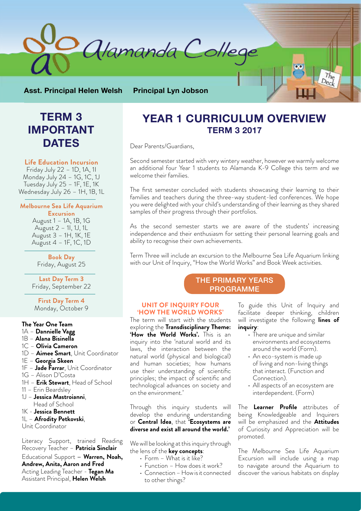

**Asst. Principal Helen Welsh Principal Lyn Jobson**

# **TERM 3 IMPORTANT DATES**

#### **Life Education Incursion**

Friday July 22 – 1D, 1A, 1I Monday July 24 – 1G, 1C, 1J Tuesday July 25 - 1F, 1E, 1K Wednesday July 26 - 1H, 1B, 1L

**Melbourne Sea Life Aquarium Excursion** 

> August 1 – 1A, 1B, 1G August 2 – 1I, 1J, 1L August 3 – 1H, 1K, 1E August 4 – 1F, 1C, 1D

**Book Day**  Friday, August 25

**Last Day Term 3**  Friday, September 22

**First Day Term 4**  Monday, October 9

#### **The Year One Team**

- 1A **Dannielle Vagg**
- 1B **Alana Bisinella**
- 1C **Olivia Cameron**
- 1D **Aimee Smart**, Unit Coordinator
- 1E **Georgia Skeen**
- 1F **Jade Farrar**, Unit Coordinator
- 1G Alison D'Costa
- 1H **Erik Stewart**, Head of School
- 11 Erin Beardsley
- 1J **Jessica Mastroianni**,
- Head of School
- 1K **Jessica Bennett**
- 1L – **Afrodity Petkovski**,

Unit Coordinator

Literacy Support, trained Reading Recovery Teacher – **Patricia Sinclair**

Educational Support – **Warren, Noah, Andrew, Anita, Aaron and Fred** Acting Leading Teacher - **Tegan Ma** Assistant Principal, **Helen Welsh**

## **YEAR 1 CURRICULUM OVERVIEW TERM 3 2017**

Dear Parents/Guardians,

Second semester started with very wintery weather, however we warmly welcome an additional four Year 1 students to Alamanda K-9 College this term and we welcome their families.

The first semester concluded with students showcasing their learning to their families and teachers during the three-way student-led conferences. We hope you were delighted with your child's understanding of their learning as they shared samples of their progress through their portfolios.

As the second semester starts we are aware of the students' increasing independence and their enthusiasm for setting their personal learning goals and ability to recognise their own achievements.

Term Three will include an excursion to the Melbourne Sea Life Aquarium linking with our Unit of Inquiry, "How the World Works" and Book Week activities.

## THE PRIMARY YEARS PROGRAMME

#### **UNIT OF INQUIRY FOUR 'HOW THE WORLD WORKS'**

The term will start with the students exploring the **Transdisciplinary Theme: 'How the World Works'.** This is an inquiry into the 'natural world and its laws, the interaction between the natural world (physical and biological) and human societies; how humans use their understanding of scientific principles; the impact of scientific and technological advances on society and on the environment.'

Through this inquiry students will develop the enduring understanding or **Central Idea**, that **'Ecosystems are diverse and exist all around the world.'**

We will be looking at this inquiry through the lens of the **key concepts**:

- $\cdot$  Form What is it like?
- Function How does it work?
- Connection How is it connected to other things?

To guide this Unit of Inquiry and facilitate deeper thinking, children will investigate the following **lines of inquiry**:

- There are unique and similar environments and ecosystems around the world (Form).
- An eco-system is made up of living and non-living things that interact. (Function and Connection).
- All aspects of an ecosystem are interdependent. (Form)

The **Learner Profile** attributes of being Knowledgeable and Inquirers will be emphasized and the **Attitudes** of Curiosity and Appreciation will be promoted.

The Melbourne Sea Life Aquarium Excursion will include using a map to navigate around the Aquarium to discover the various habitats on display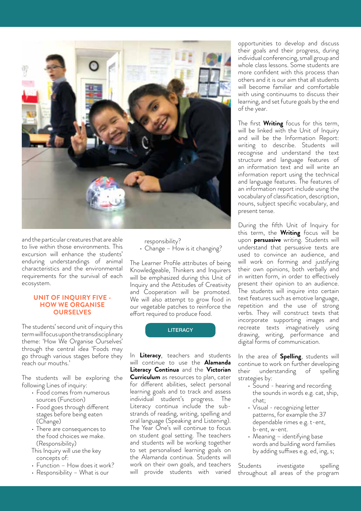

and the particular creatures that are able to live within those environments. This excursion will enhance the students' enduring understandings of animal characteristics and the environmental requirements for the survival of each ecosystem.

#### **UNIT OF INQUIRY FIVE - HOW WE ORGANISE OURSELVES**

The students' second unit of inquiry this term will focus upon the transdisciplinary theme: 'How We Organise Ourselves' through the central idea 'Foods may go through various stages before they reach our mouths.'

The students will be exploring the following Lines of inquiry:

- Food comes from numerous sources (Function)
- Food goes through different stages before being eaten (Change)
- There are consequences to the food choices we make. (Responsibility)
- This Inquiry will use the key concepts of:
- Function How does it work?
- Responsibility What is our

responsibility?

• Change – How is it changing?

The Learner Profile attributes of being Knowledgeable, Thinkers and Inquirers will be emphasized during this Unit of Inquiry and the Attitudes of Creativity and Cooperation will be promoted. We will also attempt to grow food in our vegetable patches to reinforce the effort required to produce food.

#### **LITERACY**

In **Literacy**, teachers and students will continue to use the **Alamanda Literacy Continua** and the **Victorian Curriculum** as resources to plan, cater for different abilities, select personal learning goals and to track and assess individual student's progress. The Literacy continua include the substrands of reading, writing, spelling and oral language (Speaking and Listening). The Year One's will continue to focus on student goal setting. The teachers and students will be working together to set personalised learning goals on the Alamanda continua. Students will work on their own goals, and teachers will provide students with varied

opportunities to develop and discuss their goals and their progress, during individual conferencing, small group and whole class lessons. Some students are more confident with this process than others and it is our aim that all students will become familiar and comfortable with using continuums to discuss their learning, and set future goals by the end of the year.

The first **Writing** focus for this term, will be linked with the Unit of Inquiry and will be the Information Report: writing to describe. Students will recognise and understand the text structure and language features of an information text and will write an information report using the technical and language features. The features of an information report include using the vocabulary of classification, description, nouns, subject specific vocabulary, and present tense.

During the fifth Unit of Inquiry for this term, the **Writing** focus will be upon **persuasive** writing. Students will understand that persuasive texts are used to convince an audience, and will work on forming and justifying their own opinions, both verbally and in written form, in order to effectively present their opinion to an audience. The students will inquire into certain text features such as emotive language, repetition and the use of strong verbs. They will construct texts that incorporate supporting images and recreate texts imaginatively using drawing, writing, performance and digital forms of communication.

In the area of **Spelling**, students will continue to work on further developing their understanding of spelling strategies by:

- Sound hearing and recording the sounds in words e.g. cat, ship, chat;
- Visual recognizing letter patterns, for example the 37 dependable rimes e.g. t-ent, b-ent, w-ent.
- Meaning identifying base words and building word families by adding suffixes e.g. ed, ing, s;

Students investigate spelling throughout all areas of the program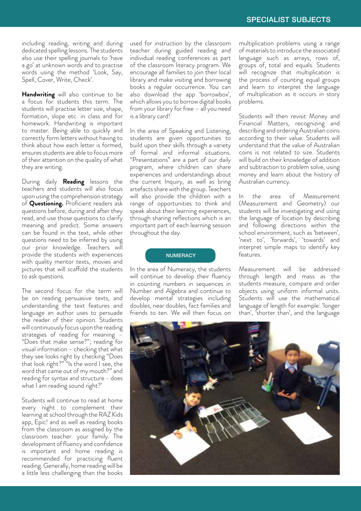including reading, writing and during dedicated spelling lessons. The students also use their spelling journals to 'have a go' at unknown words and to practise words using the method 'Look, Say, Spell, Cover, Write, Check'.

**Handwriting** will also continue to be a focus for students this term. The students will practise letter size, shape, formation, slope etc. in class and for homework. Handwriting is important to master. Being able to quickly and correctly form letters without having to think about how each letter is formed, ensures students are able to focus more of their attention on the quality of what they are writing.

During daily **Reading** lessons the teachers and students will also focus upon using the comprehension strategy of **Questioning.** Proficient readers ask questions before, during and after they read, and use those questions to clarify meaning and predict. Some answers can be found in the text, while other questions need to be inferred by using our prior knowledge. Teachers will provide the students with experiences with quality mentor texts, movies and pictures that will scaffold the students to ask questions.

The second focus for the term will be on reading persuasive texts, and understanding the text features and language an author uses to persuade the reader of their opinion. Students will continuously focus upon the reading strategies of reading for meaning – "Does that make sense?"; reading for visual information - checking that what they see looks right by checking "Does that look right?" "Is the word I see, the word that came out of my mouth?" and reading for syntax and structure - does what I am reading sound right?'

Students will continue to read at home every night to complement their learning at school through the RAZ Kids app, Epic! and as well as reading books from the classroom as assigned by the classroom teacher. your family. The development of fluency and confidence is important and home reading is recommended for practicing fluent reading. Generally, home reading will be a little less challenging than the books

used for instruction by the classroom teacher during guided reading and individual reading conferences as part of the classroom literacy program. We encourage all families to join their local library and make visiting and borrowing books a regular occurrence. You can also download the app 'borrowbox', which allows you to borrow digital books from your library for free – all you need is a library card!

In the area of Speaking and Listening, students are given opportunities to build upon their skills through a variety of formal and informal situations. "Presentations" are a part of our daily program, where children can share experiences and understandings about the current Inquiry, as well as bring artefacts share with the group. Teachers will also provide the children with a range of opportunities to think and speak about their learning experiences, through sharing reflections which is an important part of each learning session throughout the day.

#### **NUMERACY**

In the area of Numeracy, the students will continue to develop their fluency in counting numbers in sequences in Number and Algebra and continue to develop mental strategies including doubles, near doubles, fact families and friends to ten. We will then focus on

multiplication problems using a range of materials to introduce the associated language such as arrays, rows of, groups of, total and equals. Students will recognize that multiplication is the process of counting equal groups and learn to interpret the language of multiplication as it occurs in story problems.

Students will then revisit Money and Financial Matters, recognizing and describing and ordering Australian coins according to their value. Students will understand that the value of Australian coins is not related to size. Students will build on their knowledge of addition and subtraction to problem solve, using money and learn about the history of Australian currency.

In the area of Measurement (Measurement and Geometry) our students will be investigating and using the language of location by describing and following directions within the school environment, such as 'between', 'next to', 'forwards', 'towards' and interpret simple maps to identify key features.

Measurement will be addressed through length and mass as the students measure, compare and order objects using uniform informal units. Students will use the mathematical language of length for example: 'longer than', 'shorter than', and the language

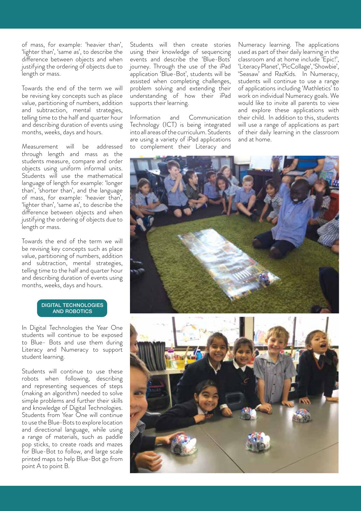of mass, for example: 'heavier than', 'lighter than', 'same as', to describe the difference between objects and when justifying the ordering of objects due to length or mass.

Towards the end of the term we will be revising key concepts such as place value, partitioning of numbers, addition and subtraction, mental strategies, telling time to the half and quarter hour and describing duration of events using months, weeks, days and hours.

Measurement will be addressed through length and mass as the students measure, compare and order objects using uniform informal units. Students will use the mathematical language of length for example: 'longer than', 'shorter than', and the language of mass, for example: 'heavier than', 'lighter than', 'same as', to describe the difference between objects and when justifying the ordering of objects due to length or mass.

Towards the end of the term we will be revising key concepts such as place value, partitioning of numbers, addition and subtraction, mental strategies, telling time to the half and quarter hour and describing duration of events using months, weeks, days and hours.

#### DIGITAL TECHNOLOGIES AND ROBOTICS

In Digital Technologies the Year One students will continue to be exposed to Blue- Bots and use them during Literacy and Numeracy to support student learning.

Students will continue to use these robots when following, describing and representing sequences of steps (making an algorithm) needed to solve simple problems and further their skills and knowledge of Digital Technologies. Students from Year One will continue to use the Blue-Bots to explore location and directional language, while using a range of materials, such as paddle pop sticks, to create roads and mazes for Blue-Bot to follow, and large scale printed maps to help Blue-Bot go from point A to point B.

Students will then create stories using their knowledge of sequencing events and describe the 'Blue-Bots' journey. Through the use of the iPad application 'Blue-Bot', students will be assisted when completing challenges, problem solving and extending their understanding of how their iPad supports their learning.

Information and Communication Technology (ICT) is being integrated into all areas of the curriculum. Students are using a variety of iPad applications to complement their Literacy and

Numeracy learning. The applications used as part of their daily learning in the classroom and at home include 'Epic!', 'Literacy Planet', 'PicCollage', 'Showbie', 'Seasaw' and RazKids. In Numeracy, students will continue to use a range of applications including 'Mathletics' to work on individual Numeracy goals. We would like to invite all parents to view and explore these applications with their child. In addition to this, students will use a range of applications as part of their daily learning in the classroom and at home.



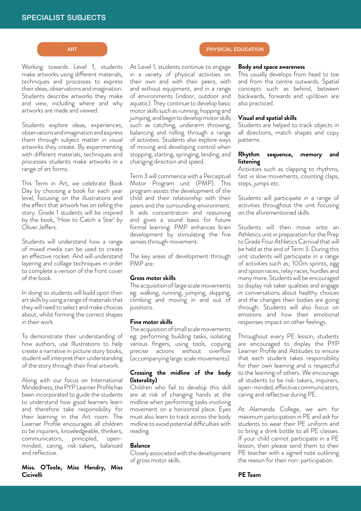Working towards Level 1, students make artworks using different materials, techniques and processes to express their ideas, observations and imagination. Students describe artworks they make and view, including where and why artworks are made and viewed.

Students explore ideas, experiences, observations and imagination and express them through subject matter in visual artworks they create. By experimenting with different materials, techniques and processes students make artworks in a range of art forms.

This Term in Art, we celebrate Book Day by choosing a book for each year level, focusing on the illustrations and the effect that artwork has on telling the story. Grade 1 students will be inspired by the book, 'How to Catch a Star' by Oliver Jeffers.

Students will understand how a range of mixed media can be used to create an effective rocket. And will understand layering and collage techniques in order to complete a version of the front cover of the book.

In doing so students will build upon their art skills by using a range of materials that they will need to select and make choices about, whilst forming the correct shapes in their work.

To demonstrate their understanding of how authors, use Illustrations to help create a narrative in picture story books, student will interpret their understanding of the story through their final artwork.

Along with our focus on International Mindedness, the PYP Learner Profile has been incorporated to guide the students to understand how good learners learn and therefore take responsibility for their learning in the Art room. The Learner Profile encourages all children to be inquirers, knowledgeable, thinkers, communicators, principled, openminded, caring, risk-takers, balanced and reflective.

#### **Miss. O'Toole, Miss Hendry, Miss Cicivelli**

At Level 1, students continue to engage in a variety of physical activities on their own and with their peers, with and without equipment, and in a range of environments (indoor, outdoor and aquatic). They continue to develop basic motor skills such as running, hopping and jumping, and begin to develop motor skills such as catching, underarm throwing, balancing and rolling through a range of activities. Students also explore ways of moving and developing control when stopping, starting, springing, landing, and changing direction and speed.

Term 3 will commence with a Perceptual Motor Program unit (PMP). This program assists the development of the child and their relationship with their peers and the surrounding environment. It aids concentration and reasoning and gives a sound basis for future formal learning. PMP enhances brain development by stimulating the five senses through movement.

The key areas of development through PMP are:

#### **Gross motor skills**

The acquisition of large scale movements eg: walking, running, jumping, skipping, climbing and moving in and out of positions.

#### **Fine motor skills**

The acquisition of small scale movements eg: performing building tasks, isolating various fingers, using tools, copying precise actions without overflow (accompanying large scale movements)

#### **Crossing the midline of the body (laterality)**

Children who fail to develop this skill are at risk of changing hands at the midline when performing tasks involving movement on a horizontal place. Eyes must also learn to track across the body midline to avoid potential difficulties with reading.

#### **Balance**

Closely associated with the development of gross motor skills.

## ART **PHYSICAL EDUCATION**

#### **Body and space awareness**

This usually develops from head to toe and from the centre outwards. Spatial concepts such as behind, between backwards, forwards and up/down are also practiced.

#### **Visual and spatial skills**

Students are helped to track objects in all directions, match shapes and copy patterns.

#### **Rhythm sequence, memory and listening**

Activities such as clapping to rhythms, fast vs slow movements, counting claps, steps, jumps etc.

Students will participate in a range of activities throughout the unit focusing on the aforementioned skills.

Students will then move onto an Athletics unit in preparation for the Prep to Grade Four Athletics Carnival that will be held at the end of Term 3. During this unit students will participate in a range of activities such as; 100m sprints, egg and spoon races, relay races, hurdles and many more. Students will be encouraged to display risk taker qualities and engage in conversations about healthy choices and the changes their bodies are going through. Students will also focus on emotions and how their emotional responses impact on other feelings.

Throughout every PE lesson, students are encouraged to display the PYP Learner Profile and Attitudes to ensure that each student takes responsibility for their own learning and is respectful to the learning of others. We encourage all students to be risk-takers, inquirers, open-minded, effective communicators, caring and reflective during PE.

At Alamanda College, we aim for maximum participation in PE and ask for students to wear their PE uniform and to bring a drink bottle to all PE classes. If your child cannot participate in a PE lesson, then please send them to their PE teacher with a signed note outlining the reason for their non-participation.